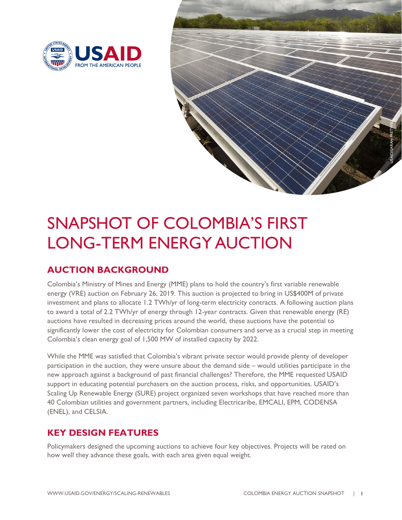



# SNAPSHOT OF COLOMBIA'S FIRST LONG-TERM ENERGY AUCTION

# **AUCTION BACKGROUND**

Colombia's Ministry of Mines and Energy (MME) plans to hold the country's first variable renewable energy (VRE) auction on February 26, 2019. This auction is projected to bring in US\$400M of private investment and plans to allocate 1.2 TWh/yr of long-term electricity contracts. A following auction plans to award a total of 2.2 TWh/yr of energy through 12-year contracts. Given that renewable energy (RE) auctions have resulted in decreasing prices around the world, these auctions have the potential to significantly lower the cost of electricity for Colombian consumers and serve as a crucial step in meeting Colombia's clean energy goal of 1,500 MW of installed capacity by 2022.

While the MME was satisfied that Colombia's vibrant private sector would provide plenty of developer participation in the auction, they were unsure about the demand side – would utilities participate in the new approach against a background of past financial challenges? Therefore, the MME requested USAID support in educating potential purchasers on the auction process, risks, and opportunities. USAID's Scaling Up Renewable Energy (SURE) project organized seven workshops that have reached more than 40 Colombian utilities and government partners, including Electricaribe, EMCALI, EPM, CODENSA (ENEL), and CELSIA.

## **KEY DESIGN FEATURES**

Policymakers designed the upcoming auctions to achieve four key objectives. Projects will be rated on how well they advance these goals, with each area given equal weight.